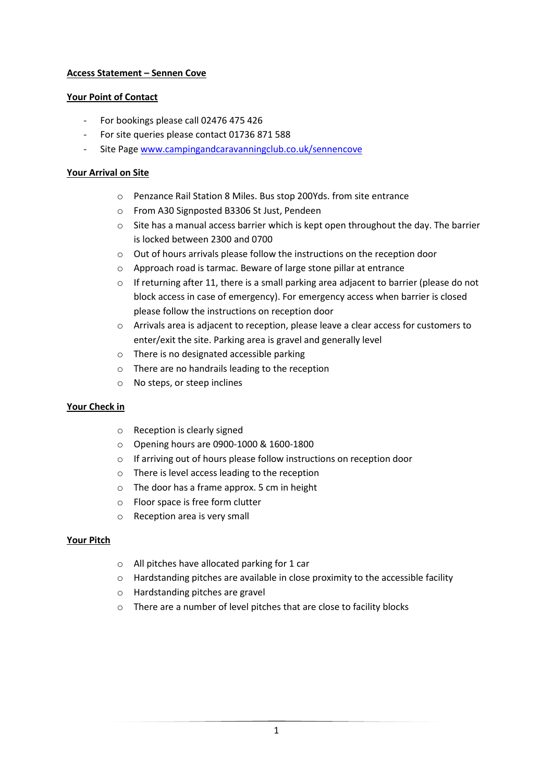# **Access Statement – Sennen Cove**

## **Your Point of Contact**

- For bookings please call 02476 475 426
- For site queries please contact 01736 871 588
- Site Page [www.campingandcaravanningclub.co.uk/sennencove](http://www.campingandcaravanningclub.co.uk/sennencove)

## **Your Arrival on Site**

- o Penzance Rail Station 8 Miles. Bus stop 200Yds. from site entrance
- o From A30 Signposted B3306 St Just, Pendeen
- $\circ$  Site has a manual access barrier which is kept open throughout the day. The barrier is locked between 2300 and 0700
- o Out of hours arrivals please follow the instructions on the reception door
- o Approach road is tarmac. Beware of large stone pillar at entrance
- $\circ$  If returning after 11, there is a small parking area adjacent to barrier (please do not block access in case of emergency). For emergency access when barrier is closed please follow the instructions on reception door
- o Arrivals area is adjacent to reception, please leave a clear access for customers to enter/exit the site. Parking area is gravel and generally level
- o There is no designated accessible parking
- o There are no handrails leading to the reception
- o No steps, or steep inclines

# **Your Check in**

- o Reception is clearly signed
- o Opening hours are 0900-1000 & 1600-1800
- o If arriving out of hours please follow instructions on reception door
- o There is level access leading to the reception
- o The door has a frame approx. 5 cm in height
- o Floor space is free form clutter
- o Reception area is very small

#### **Your Pitch**

- o All pitches have allocated parking for 1 car
- o Hardstanding pitches are available in close proximity to the accessible facility
- o Hardstanding pitches are gravel
- o There are a number of level pitches that are close to facility blocks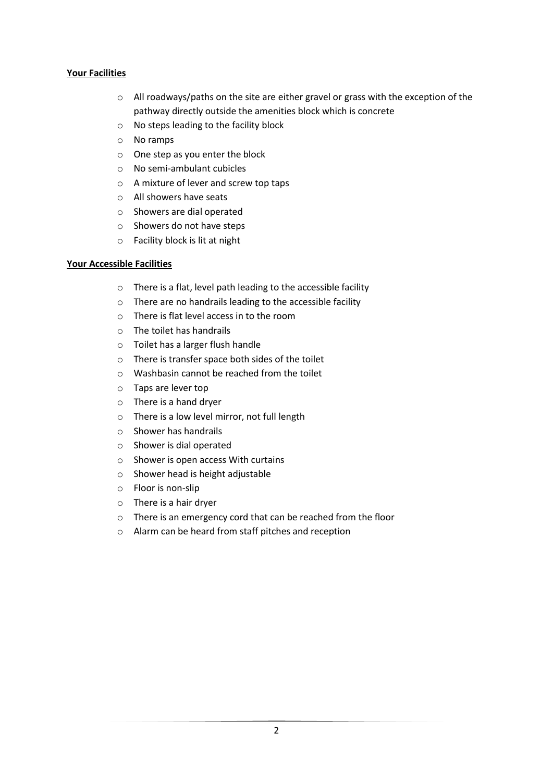## **Your Facilities**

- o All roadways/paths on the site are either gravel or grass with the exception of the pathway directly outside the amenities block which is concrete
- o No steps leading to the facility block
- o No ramps
- o One step as you enter the block
- o No semi-ambulant cubicles
- o A mixture of lever and screw top taps
- o All showers have seats
- o Showers are dial operated
- o Showers do not have steps
- o Facility block is lit at night

#### **Your Accessible Facilities**

- o There is a flat, level path leading to the accessible facility
- o There are no handrails leading to the accessible facility
- o There is flat level access in to the room
- o The toilet has handrails
- o Toilet has a larger flush handle
- o There is transfer space both sides of the toilet
- $\circ$  Washbasin cannot be reached from the toilet
- o Taps are lever top
- o There is a hand dryer
- o There is a low level mirror, not full length
- o Shower has handrails
- o Shower is dial operated
- o Shower is open access With curtains
- o Shower head is height adjustable
- o Floor is non-slip
- o There is a hair dryer
- o There is an emergency cord that can be reached from the floor
- o Alarm can be heard from staff pitches and reception